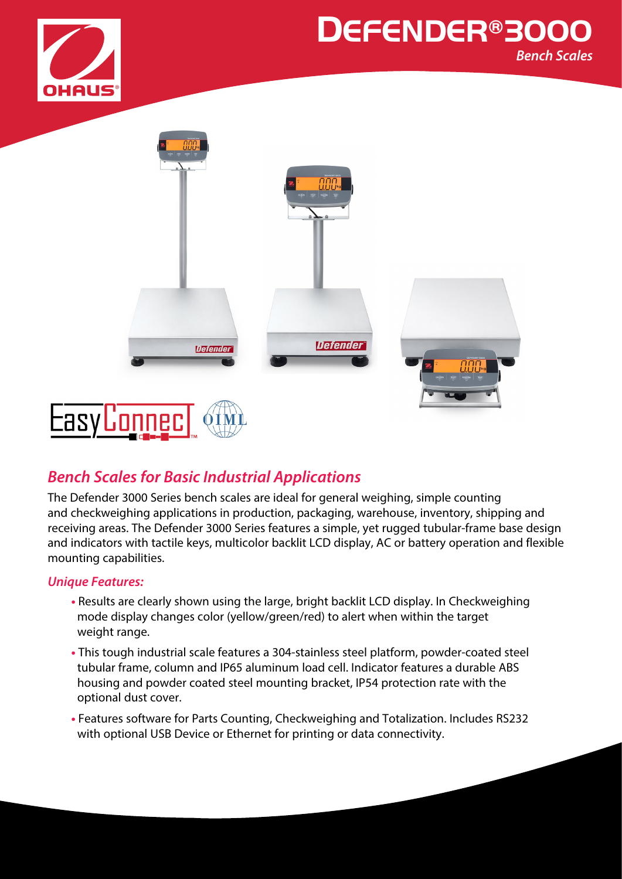



## *Bench Scales for Basic Industrial Applications*

The Defender 3000 Series bench scales are ideal for general weighing, simple counting and checkweighing applications in production, packaging, warehouse, inventory, shipping and receiving areas. The Defender 3000 Series features a simple, yet rugged tubular-frame base design and indicators with tactile keys, multicolor backlit LCD display, AC or battery operation and flexible mounting capabilities.

#### *Unique Features:*

- **•** Results are clearly shown using the large, bright backlit LCD display. In Checkweighing mode display changes color (yellow/green/red) to alert when within the target weight range.
- **•** This tough industrial scale features a 304-stainless steel platform, powder-coated steel tubular frame, column and IP65 aluminum load cell. Indicator features a durable ABS housing and powder coated steel mounting bracket, IP54 protection rate with the optional dust cover.
- **•** Features software for Parts Counting, Checkweighing and Totalization. Includes RS232 with optional USB Device or Ethernet for printing or data connectivity.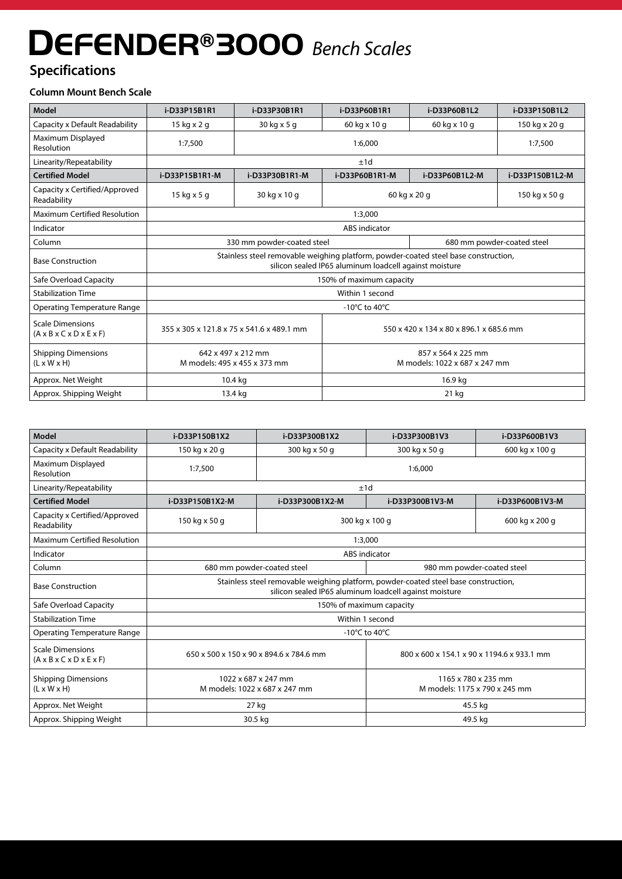## **Specifications**

#### **Column Mount Bench Scale**

| <b>Model</b>                                                                  | i-D33P15B1R1                                                                                                                                  | i-D33P30B1R1       | i-D33P60B1R1                                        | i-D33P60B1L2               | i-D33P150B1L2   |
|-------------------------------------------------------------------------------|-----------------------------------------------------------------------------------------------------------------------------------------------|--------------------|-----------------------------------------------------|----------------------------|-----------------|
| Capacity x Default Readability                                                | 15 kg x 2 g                                                                                                                                   | 30 kg x 5 g        | 60 kg x 10 g                                        | 60 kg x 10 g               | 150 kg x 20 g   |
| Maximum Displayed<br>Resolution                                               | 1:7,500                                                                                                                                       | 1:6,000<br>1:7,500 |                                                     |                            |                 |
| Linearity/Repeatability                                                       |                                                                                                                                               | ±1d                |                                                     |                            |                 |
| <b>Certified Model</b>                                                        | i-D33P15B1R1-M                                                                                                                                | i-D33P30B1R1-M     | i-D33P60B1R1-M                                      | i-D33P60B1L2-M             | i-D33P150B1L2-M |
| Capacity x Certified/Approved<br>Readability                                  | 15 kg x 5 g                                                                                                                                   | 30 kg x 10 g       | 60 kg x 20 g                                        |                            | 150 kg x 50 g   |
| <b>Maximum Certified Resolution</b>                                           | 1:3,000                                                                                                                                       |                    |                                                     |                            |                 |
| Indicator                                                                     | <b>ABS</b> indicator                                                                                                                          |                    |                                                     |                            |                 |
| Column                                                                        | 330 mm powder-coated steel                                                                                                                    |                    |                                                     | 680 mm powder-coated steel |                 |
| <b>Base Construction</b>                                                      | Stainless steel removable weighing platform, powder-coated steel base construction,<br>silicon sealed IP65 aluminum loadcell against moisture |                    |                                                     |                            |                 |
| Safe Overload Capacity                                                        | 150% of maximum capacity                                                                                                                      |                    |                                                     |                            |                 |
| <b>Stabilization Time</b>                                                     | Within 1 second                                                                                                                               |                    |                                                     |                            |                 |
| <b>Operating Temperature Range</b>                                            | -10°C to 40°C                                                                                                                                 |                    |                                                     |                            |                 |
| <b>Scale Dimensions</b><br>$(A \times B \times C \times D \times E \times F)$ | 355 x 305 x 121.8 x 75 x 541.6 x 489.1 mm                                                                                                     |                    | 550 x 420 x 134 x 80 x 896.1 x 685.6 mm             |                            |                 |
| <b>Shipping Dimensions</b><br>$(L \times W \times H)$                         | 642 x 497 x 212 mm<br>M models: 495 x 455 x 373 mm                                                                                            |                    | 857 x 564 x 225 mm<br>M models: 1022 x 687 x 247 mm |                            |                 |
| Approx. Net Weight                                                            | 10.4 kg                                                                                                                                       |                    |                                                     | 16.9 kg                    |                 |
| Approx. Shipping Weight                                                       | 13.4 kg                                                                                                                                       |                    |                                                     | 21 kg                      |                 |

| <b>Model</b>                                                                  | i-D33P150B1X2                                                                                                                                 | i-D33P300B1X2                  | i-D33P300B1V3                                        | i-D33P600B1V3   |  |
|-------------------------------------------------------------------------------|-----------------------------------------------------------------------------------------------------------------------------------------------|--------------------------------|------------------------------------------------------|-----------------|--|
| Capacity x Default Readability                                                | 150 kg x 20 g                                                                                                                                 | 300 kg x 50 g<br>300 kg x 50 g |                                                      | 600 kg x 100 g  |  |
| Maximum Displayed<br>Resolution                                               | 1:7,500                                                                                                                                       | 1:6,000                        |                                                      |                 |  |
| Linearity/Repeatability                                                       |                                                                                                                                               | ±1d                            |                                                      |                 |  |
| <b>Certified Model</b>                                                        | i-D33P150B1X2-M                                                                                                                               | i-D33P300B1X2-M                | i-D33P300B1V3-M                                      | i-D33P600B1V3-M |  |
| Capacity x Certified/Approved<br>Readability                                  | 150 kg x 50 g                                                                                                                                 | 300 kg x 100 g                 |                                                      | 600 kg x 200 g  |  |
| Maximum Certified Resolution                                                  | 1:3,000                                                                                                                                       |                                |                                                      |                 |  |
| Indicator                                                                     | <b>ABS</b> indicator                                                                                                                          |                                |                                                      |                 |  |
| Column                                                                        | 680 mm powder-coated steel                                                                                                                    |                                | 980 mm powder-coated steel                           |                 |  |
| <b>Base Construction</b>                                                      | Stainless steel removable weighing platform, powder-coated steel base construction,<br>silicon sealed IP65 aluminum loadcell against moisture |                                |                                                      |                 |  |
| Safe Overload Capacity                                                        | 150% of maximum capacity                                                                                                                      |                                |                                                      |                 |  |
| <b>Stabilization Time</b>                                                     | Within 1 second                                                                                                                               |                                |                                                      |                 |  |
| <b>Operating Temperature Range</b>                                            | -10°C to 40°C                                                                                                                                 |                                |                                                      |                 |  |
| <b>Scale Dimensions</b><br>$(A \times B \times C \times D \times E \times F)$ | 650 x 500 x 150 x 90 x 894.6 x 784.6 mm                                                                                                       |                                | 800 x 600 x 154.1 x 90 x 1194.6 x 933.1 mm           |                 |  |
| <b>Shipping Dimensions</b><br>$(L \times W \times H)$                         | 1022 x 687 x 247 mm<br>M models: 1022 x 687 x 247 mm                                                                                          |                                | 1165 x 780 x 235 mm<br>M models: 1175 x 790 x 245 mm |                 |  |
| Approx. Net Weight                                                            | 27 kg                                                                                                                                         |                                | 45.5 kg                                              |                 |  |
| Approx. Shipping Weight                                                       | 30.5 kg                                                                                                                                       |                                | 49.5 kg                                              |                 |  |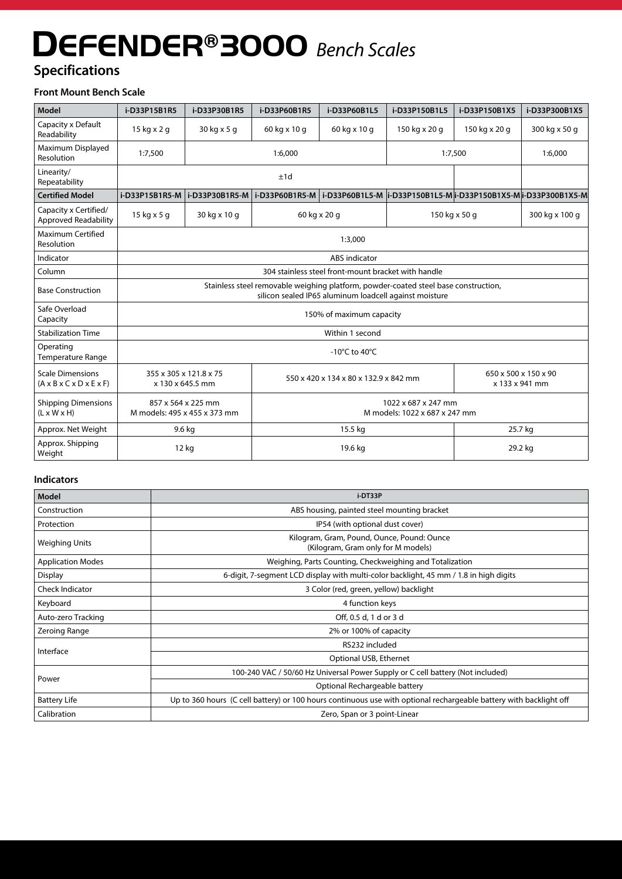## **Specifications**

#### **Front Mount Bench Scale**

| <b>Model</b>                                                                  | i-D33P15B1R5                                                                                                                                  | i-D33P30B1R5                                                                                               | i-D33P60B1R5 | i-D33P60B1L5 | i-D33P150B1L5                          | i-D33P150B1X5                                                                      | i-D33P300B1X5  |
|-------------------------------------------------------------------------------|-----------------------------------------------------------------------------------------------------------------------------------------------|------------------------------------------------------------------------------------------------------------|--------------|--------------|----------------------------------------|------------------------------------------------------------------------------------|----------------|
| Capacity x Default<br>Readability                                             | 15 kg x 2 g                                                                                                                                   | 30 kg x 5 g                                                                                                | 60 kg x 10 g | 60 kg x 10 g | 150 kg x 20 g                          | 150 kg x 20 g                                                                      | 300 kg x 50 g  |
| Maximum Displayed<br>Resolution                                               | 1:7,500                                                                                                                                       | 1:6,000                                                                                                    |              |              |                                        | 1:7,500                                                                            | 1:6,000        |
| Linearity/<br>Repeatability                                                   | ±1d                                                                                                                                           |                                                                                                            |              |              |                                        |                                                                                    |                |
| <b>Certified Model</b>                                                        | i-D33P15B1R5-M                                                                                                                                | i-D33P30B1R5-M                                                                                             |              |              |                                        | i-D33P60B1R5-M   i-D33P60B1L5-M  i-D33P150B1L5-M  i-D33P150B1X5-M  i-D33P300B1X5-M |                |
| Capacity x Certified/<br><b>Approved Readability</b>                          | 15 kg x 5 g                                                                                                                                   | 30 kg x 10 g                                                                                               | 60 kg x 20 g |              |                                        | 150 kg x 50 g                                                                      | 300 kg x 100 g |
| Maximum Certified<br>Resolution                                               | 1:3,000                                                                                                                                       |                                                                                                            |              |              |                                        |                                                                                    |                |
| Indicator                                                                     | <b>ABS</b> indicator                                                                                                                          |                                                                                                            |              |              |                                        |                                                                                    |                |
| Column                                                                        | 304 stainless steel front-mount bracket with handle                                                                                           |                                                                                                            |              |              |                                        |                                                                                    |                |
| <b>Base Construction</b>                                                      | Stainless steel removable weighing platform, powder-coated steel base construction,<br>silicon sealed IP65 aluminum loadcell against moisture |                                                                                                            |              |              |                                        |                                                                                    |                |
| Safe Overload<br>Capacity                                                     | 150% of maximum capacity                                                                                                                      |                                                                                                            |              |              |                                        |                                                                                    |                |
| <b>Stabilization Time</b>                                                     | Within 1 second                                                                                                                               |                                                                                                            |              |              |                                        |                                                                                    |                |
| Operating<br><b>Temperature Range</b>                                         | -10 $^{\circ}$ C to 40 $^{\circ}$ C                                                                                                           |                                                                                                            |              |              |                                        |                                                                                    |                |
| <b>Scale Dimensions</b><br>$(A \times B \times C \times D \times E \times F)$ |                                                                                                                                               | 355 x 305 x 121.8 x 75<br>550 x 420 x 134 x 80 x 132.9 x 842 mm<br>x 130 x 645.5 mm                        |              |              | 650 x 500 x 150 x 90<br>x 133 x 941 mm |                                                                                    |                |
| <b>Shipping Dimensions</b><br>$(L \times W \times H)$                         |                                                                                                                                               | 1022 x 687 x 247 mm<br>857 x 564 x 225 mm<br>M models: 495 x 455 x 373 mm<br>M models: 1022 x 687 x 247 mm |              |              |                                        |                                                                                    |                |
| Approx. Net Weight                                                            |                                                                                                                                               | 9.6 kg                                                                                                     | 15.5 kg      |              | 25.7 kg                                |                                                                                    |                |
| Approx. Shipping<br>Weight                                                    |                                                                                                                                               | 12 kg                                                                                                      |              | 19.6 kg      |                                        | 29.2 kg                                                                            |                |

#### **Indicators**

| Model                    | i-DT33P                                                                                                            |  |  |
|--------------------------|--------------------------------------------------------------------------------------------------------------------|--|--|
| Construction             | ABS housing, painted steel mounting bracket                                                                        |  |  |
| Protection               | IP54 (with optional dust cover)                                                                                    |  |  |
| Weighing Units           | Kilogram, Gram, Pound, Ounce, Pound: Ounce<br>(Kilogram, Gram only for M models)                                   |  |  |
| <b>Application Modes</b> | Weighing, Parts Counting, Checkweighing and Totalization                                                           |  |  |
| Display                  | 6-digit, 7-segment LCD display with multi-color backlight, 45 mm / 1.8 in high digits                              |  |  |
| <b>Check Indicator</b>   | 3 Color (red, green, yellow) backlight                                                                             |  |  |
| Keyboard                 | 4 function keys                                                                                                    |  |  |
| Auto-zero Tracking       | Off, 0.5 d, 1 d or 3 d                                                                                             |  |  |
| Zeroing Range            | 2% or 100% of capacity                                                                                             |  |  |
| Interface                | RS232 included                                                                                                     |  |  |
|                          | Optional USB, Ethernet                                                                                             |  |  |
| Power                    | 100-240 VAC / 50/60 Hz Universal Power Supply or C cell battery (Not included)                                     |  |  |
|                          | Optional Rechargeable battery                                                                                      |  |  |
| <b>Battery Life</b>      | Up to 360 hours (C cell battery) or 100 hours continuous use with optional rechargeable battery with backlight off |  |  |
| Calibration              | Zero, Span or 3 point-Linear                                                                                       |  |  |